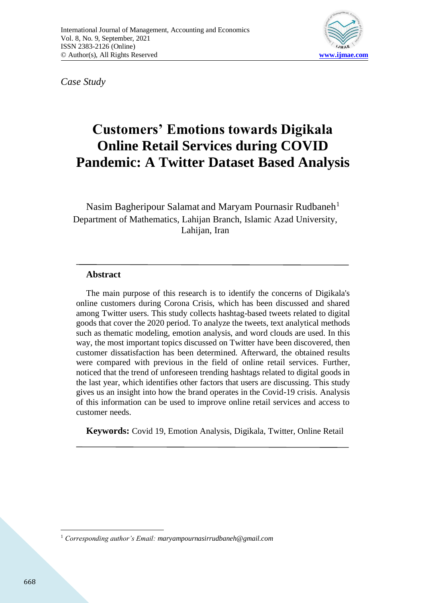

*Case Study*

# **Customers' Emotions towards Digikala Online Retail Services during COVID Pandemic: A Twitter Dataset Based Analysis**

Nasim Bagheripour Salamat and Maryam Pournasir Rudbaneh<sup>1</sup> Department of Mathematics, Lahijan Branch, Islamic Azad University, Lahijan, Iran

## **Abstract**

The main purpose of this research is to identify the concerns of Digikala's online customers during Corona Crisis, which has been discussed and shared among Twitter users. This study collects hashtag-based tweets related to digital goods that cover the 2020 period. To analyze the tweets, text analytical methods such as thematic modeling, emotion analysis, and word clouds are used. In this way, the most important topics discussed on Twitter have been discovered, then customer dissatisfaction has been determined. Afterward, the obtained results were compared with previous in the field of online retail services. Further, noticed that the trend of unforeseen trending hashtags related to digital goods in the last year, which identifies other factors that users are discussing. This study gives us an insight into how the brand operates in the Covid-19 crisis. Analysis of this information can be used to improve online retail services and access to customer needs.

**Keywords:** Covid 19, Emotion Analysis, Digikala, Twitter, Online Retail

<sup>1</sup> *Corresponding author's Email: maryampournasirrudbaneh@gmail.com*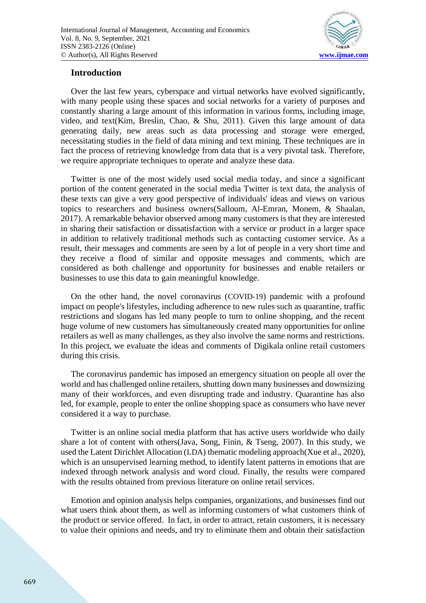

### **Introduction**

Over the last few years, cyberspace and virtual networks have evolved significantly, with many people using these spaces and social networks for a variety of purposes and constantly sharing a large amount of this information in various forms, including image, video, and text(Kim, Breslin, Chao, & Shu, 2011). Given this large amount of data generating daily, new areas such as data processing and storage were emerged, necessitating studies in the field of data mining and text mining. These techniques are in fact the process of retrieving knowledge from data that is a very pivotal task. Therefore, we require appropriate techniques to operate and analyze these data.

Twitter is one of the most widely used social media today, and since a significant portion of the content generated in the social media Twitter is text data, the analysis of these texts can give a very good perspective of individuals' ideas and views on various topics to researchers and business owners(Salloum, Al-Emran, Monem, & Shaalan, 2017). A remarkable behavior observed among many customers is that they are interested in sharing their satisfaction or dissatisfaction with a service or product in a larger space in addition to relatively traditional methods such as contacting customer service. As a result, their messages and comments are seen by a lot of people in a very short time and they receive a flood of similar and opposite messages and comments, which are considered as both challenge and opportunity for businesses and enable retailers or businesses to use this data to gain meaningful knowledge.

On the other hand, the novel coronavirus (COVID-19) pandemic with a profound impact on people's lifestyles, including adherence to new rules such as quarantine, traffic restrictions and slogans has led many people to turn to online shopping, and the recent huge volume of new customers has simultaneously created many opportunities for online retailers as well as many challenges, as they also involve the same norms and restrictions. In this project, we evaluate the ideas and comments of Digikala online retail customers during this crisis.

The coronavirus pandemic has imposed an emergency situation on people all over the world and has challenged online retailers, shutting down many businesses and downsizing many of their workforces, and even disrupting trade and industry. Quarantine has also led, for example, people to enter the online shopping space as consumers who have never considered it a way to purchase.

Twitter is an online social media platform that has active users worldwide who daily share a lot of content with others(Java, Song, Finin, & Tseng, 2007). In this study, we used the Latent Dirichlet Allocation (LDA) thematic modeling approach(Xue et al., 2020), which is an unsupervised learning method, to identify latent patterns in emotions that are indexed through network analysis and word cloud. Finally, the results were compared with the results obtained from previous literature on online retail services.

Emotion and opinion analysis helps companies, organizations, and businesses find out what users think about them, as well as informing customers of what customers think of the product or service offered. In fact, in order to attract, retain customers, it is necessary to value their opinions and needs, and try to eliminate them and obtain their satisfaction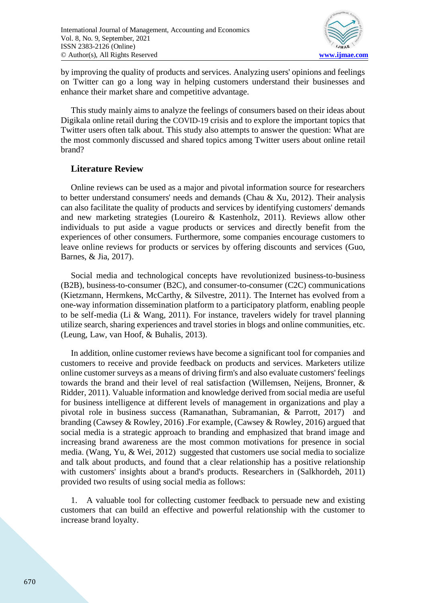

by improving the quality of products and services. Analyzing users' opinions and feelings on Twitter can go a long way in helping customers understand their businesses and enhance their market share and competitive advantage.

This study mainly aims to analyze the feelings of consumers based on their ideas about Digikala online retail during the COVID-19 crisis and to explore the important topics that Twitter users often talk about. This study also attempts to answer the question: What are the most commonly discussed and shared topics among Twitter users about online retail brand?

## **Literature Review**

Online reviews can be used as a major and pivotal information source for researchers to better understand consumers' needs and demands (Chau & Xu, 2012). Their analysis can also facilitate the quality of products and services by identifying customers' demands and new marketing strategies (Loureiro & Kastenholz, 2011) . Reviews allow other individuals to put aside a vague products or services and directly benefit from the experiences of other consumers. Furthermore, some companies encourage customers to leave online reviews for products or services by offering discounts and services (Guo, Barnes, & Jia, 2017).

Social media and technological concepts have revolutionized business-to-business (B2B), business-to-consumer (B2C), and consumer-to-consumer (C2C) communications (Kietzmann, Hermkens, McCarthy, & Silvestre, 2011). The Internet has evolved from a one-way information dissemination platform to a participatory platform, enabling people to be self-media (Li & Wang, 2011). For instance, travelers widely for travel planning utilize search, sharing experiences and travel stories in blogs and online communities, etc. (Leung, Law, van Hoof, & Buhalis, 2013) .

In addition, online customer reviews have become a significant tool for companies and customers to receive and provide feedback on products and services. Marketers utilize online customer surveys as a means of driving firm's and also evaluate customers' feelings towards the brand and their level of real satisfaction (Willemsen, Neijens, Bronner, & Ridder, 2011). Valuable information and knowledge derived from social media are useful for business intelligence at different levels of management in organizations and play a pivotal role in business success (Ramanathan, Subramanian,  $\&$  Parrott, 2017) branding (Cawsey & Rowley, 2016) .For example, (Cawsey & Rowley, 2016) argued that social media is a strategic approach to branding and emphasized that brand image and increasing brand awareness are the most common motivations for presence in social media. (Wang, Yu, & Wei, 2012) suggested that customers use social media to socialize and talk about products, and found that a clear relationship has a positive relationship with customers' insights about a brand's products. Researchers in (Salkhordeh, 2011) provided two results of using social media as follows:

1. A valuable tool for collecting customer feedback to persuade new and existing customers that can build an effective and powerful relationship with the customer to increase brand loyalty.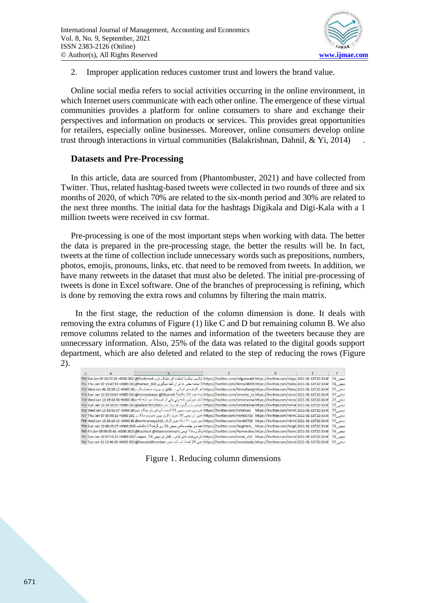

2. Improper application reduces customer trust and lowers the brand value.

Online social media refers to social activities occurring in the online environment, in which Internet users communicate with each other online. The emergence of these virtual communities provides a platform for online consumers to share and exchange their perspectives and information on products or services. This provides great opportunities for retailers, especially online businesses. Moreover, online consumers develop online trust through interactions in virtual communities (Balakrishnan, Dahnil, & Yi, 2014) .

### **Datasets and Pre-Processing**

In this article, data are sourced from (Phantombuster, 2021) and have collected from Twitter. Thus, related hashtag-based tweets were collected in two rounds of three and six months of 2020, of which 70% are related to the six-month period and 30% are related to the next three months. The initial data for the hashtags Digikala and Digi-Kala with a 1 million tweets were received in csv format.

Pre-processing is one of the most important steps when working with data. The better the data is prepared in the pre-processing stage, the better the results will be. In fact, tweets at the time of collection include unnecessary words such as prepositions, numbers, photos, emojis, pronouns, links, etc. that need to be removed from tweets. In addition, we have many retweets in the dataset that must also be deleted. The initial pre-processing of tweets is done in Excel software. One of the branches of preprocessing is refining, which is done by removing the extra rows and columns by filtering the main matrix.

 In the first stage, the reduction of the column dimension is done. It deals with removing the extra columns of Figure (1) like C and D but remaining column B. We also remove columns related to the names and information of the tweeters because they are unnecessary information. Also, 25% of the data was related to the digital goods support department, which are also deleted and related to the step of reducing the rows (Figure 2).

|  | ديجي كالا ؟https://twitter.com/nilgoneabi https://twitter.com/nilgo 2021-01-13T22:33:4 نكردم ،يكم با استقاده اش مشكل دارم 2021 e2000 2021 و221-1312 550 Sat Jan 09 15:17:22 +0000 202                                         |  |  |
|--|-------------------------------------------------------------------------------------------------------------------------------------------------------------------------------------------------------------------------------|--|--|
|  | انبجى كالا   49951-2011-2020-1108/https://twitter.com/Nima74995 https://twitter.com/Nima74995 (بيت المسافران كجا مبكِّرين 800 Saman الاقران كان موقوع 1000 1108/https://twitter.com/Nima74995 https://twitter.com/Nima74995 h |  |  |
|  | ديجى كالا ؟https://twitter.com/NimaRastg https://twitter.com/NimaRastg https://twitter.com/NimaRastg البراني ---ttps هر كارفرماي ابراني ---ttps://twitter.com/NimaRastg https://twitter.com/NimaRastg أعيجي كالا ؟https://twi |  |  |
|  | انبجى كالا 13122:33:49-2021-2021-2021 https://twitter.com/nimche_ra\https://twitter.com/nimcl [ينه خود كالا بكتير؟ https://twitter.com/nimcle_ra\https://twitter.com/nimcl                                                    |  |  |
|  |                                                                                                                                                                                                                               |  |  |
|  | انيجي كالا ؟https://twitter.com/nimetamai.https://twitter.com/nimetamai/ الجناس بد و گرون هم زياد داره 1055×10000 105/14/https://twitter.com/nimetamai/ اختاره 101034:55 +0000 202 @salam70519015                             |  |  |
|  |                                                                                                                                                                                                                               |  |  |
|  | انبجى كالا ؟https://twitter.com/nkm00710 https://twitter.com/nkm00710 https://twitter.com/nkm00710 https://twitter.com/nkm00710 https://twitter.com/nkm00710 https://twitter.com/nkm00710 https://twitter.com/nkm00710 https: |  |  |
|  | انبجى كالا ؟https://twitter.com/nkm00710 https://twitter.com/nkm00710 https://twitter.com/nkm00710 https://twitter.com/nkm00710 https://twitter.com/nkm00710 https://twitter.com/nkm00710 https://twitter.com/nkm00710 https: |  |  |
|  | نيجي كالا   https://twitter.com/Noghteh    https://twitter.com/Noghteh    https://twitter.com/Noghteh افقط من جثمم باكس نيجي كالا رو گرفت؟ تا باكستم كا20 2000، 108:29:27 +0000 و759 59 km                                    |  |  |
|  | انبجى كالا ؟https://twitter.com/Nonecolou.https://twitter.com/Nonecolou.https://twitter.com/Nonec0lou بالتجارة المجموعة المعام 1960 Fri Jan 08 08:00:41-0000 2021 @bazhool أبيجى كالا ؟https://twitter.com/Nonecolou.https:// |  |  |
|  | ديجى كالا https://twitter.com/omid sh1 https://twitter.com/omid 2021-01-13T22:33:4 فاز فروتنده هاى لباس ، كفش تو ديجى كالا نمينهم آني200 1000-1112-1000 107:51:12 +0000 كربجى كالا نمينهم آني                                 |  |  |
|  | انبجى كالا   /https://twitter.com/omidziadz/https://twitter.com/omid 2021-01-13T22:33:4 بجى كالا فيمت لب تاب بين Attps://twitter.com/omidziadz/https://twitter.com/omid 2021-01-13T22:33:4                                    |  |  |

Figure 1. Reducing column dimensions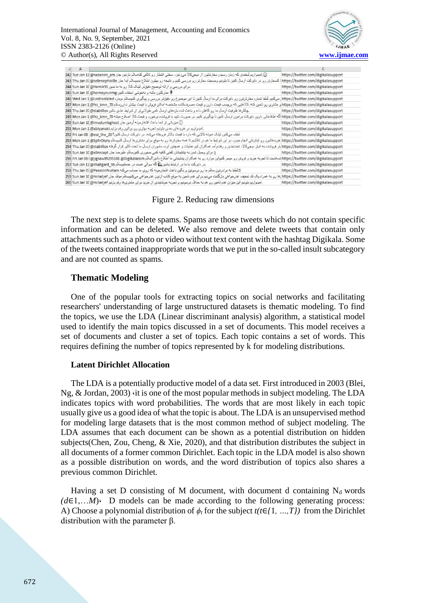

|  | @.امیدواریم لیخندی که زمان رسیدن سفارشتون از دیجیکالا میزنین، سختی انتظار رو تلافی کنهسلام نازنین جان Tue Jan 12 @nazaniin_am                                                                                                 | https://twitter.com/digikalasupport |
|--|-------------------------------------------------------------------------------------------------------------------------------------------------------------------------------------------------------------------------------|-------------------------------------|
|  | https://twitter.com/digikalasupport\ ا کسفارش رو در داورکت ارسال کنین تا بئونیم وضحیت سفارش رو بررسی کنیم و نثیجه رو بهتون اطلاع بدیمسلام آیدا جان https://twitter.com/digikalasupport\ ا کسفارش رو در داورکت ارسال کنین تا ب |                                     |
|  | یرای بررسی و ارائه توضیح دقیق تر لینک کالا رو به ما بدین Hamik91@ 444 Sun Jan 10@                                                                                                                                             | https://twitter.com/digikalasupport |
|  | ه مباركتون باشه و بهخوشي استفاده كنين Sun Jan 10 @homayounmg كم باركتون باشه و بهخوشي استفاده                                                                                                                                 | https://twitter.com/digikalasupport |
|  | ، میکنیم. لَمْفا سَماره سفارسَرَون رو داہریک برای ما ارسال کنین تا این موضوع رو دقویَتر بررسی و پیگیری کنیسلام دوباره 246 Wed Jan 1 @Lostisolated کا                                                                          | https://twitter.com/digikalasupport |
|  | https://twitter.com/digikalasupport و متشری رو تامین کنه. کالاهایی که برچسب قیمت دارن و قیمت مصرف کننده متخصه امکان فروش با قیمت بیشش ندارن سلام 10 (247 Mon Jan 1 @frz_kmn_70                                                |                                     |
|  | .چالش.ها ظرفیت ارسال ما رو کاهش داده و باعث شده بازدهای ارسال کمی طولانیکر از شرایط عادی باشن 248 Thu Jan 07 @stabillox                                                                                                       | https://twitter.com/digikalasupport |
|  | اگه اطلاعاتی دارین دایرکت برامون ارسال کنین تا پیگیری کنیم. در صورت تایید با فروشنده برخورد و قیمت کالا اصلاح میشه 70 Mon Jan 1 @frz_kmn_70                                                                                   | https://twitter.com/digikalasupport |
|  | ن ميزياني از شما باعث افتخارمونه آرمين جان Sun Jan 10 @imadumbghost (250                                                                                                                                                      | https://twitter.com/digikalasupport |
|  | .اميدراريم در خريدهاى بعدى بتونيم تجربه بهترى رو براتون رقم بزنيم 251 Mon Jan 1 @abiyanaki                                                                                                                                    | https://twitter.com/digikalasupport |
|  | لطف میکنین لینک نمونه کالایی که داره با قیمت بالاتر فروخته میشه، در دایرکت ارسال کنین؟ Eri Jan 08 (@esi_the_20                                                                                                                | https://twitter.com/digikalasupport |
|  | https://twitter.com/digikalasupport خریدهاکنن رو اینترنکی انجام مین، در این سرایط ما هم در تلاشیم تا همه سفارشها رو به موقع برای مشتریها ارسال کنوساکم https://twitter.com/digikalasupport                                    |                                     |
|  | https://twitter.com/digikalasupport)بار فروشنده به انبار دیچیکالا، تشتبندی و رفتوآمد همکاران تیم عملیات و همچنین تردد ماموران ارسال ما تحت تاثیر قرار گرفته 254 Thu Jan 07@stabillox بار فروشنده به انبار دیچیکالا، تشتبندی و |                                     |
|  | (; برای وصل شدن به پشتیبانان تلفنی کافیه کمی صبوری کنینسلام علیرضا جان 255 Sun Jan 10 @alirezapt                                                                                                                              | https://twitter.com/digikalasupport |
|  | https://twitter.com/digikalasupport ندەملىت تا تجربه خريد و فروش رو مېسر كنېرابن موارد رو به همكاران پشتيبانى ما اطلاع دادين؟سلام Digisaw89295108 @Digikalasupport                                                            |                                     |
|  | در دایرکت با ما در ارتباط باشین ها اگه سوالی هست در خدمتیمسلام 25 Tue Jan 12 @shabgard_98                                                                                                                                     | https://twitter.com/digikalasupport |
|  | @لطفا به برادرتون سلام ما رو برسونين و بگين باعث افتخارمونه كه روي ما حساب ميكثه Passionfruitam@ (258 Thu Jan 0                                                                                                               | https://twitter.com/digikalasupport |
|  | https://twitter.com/digikalasupport رو به هراه یک کد کخفیف عذرخواهی بازگشت میدپریرای عدم تامین به مرقم کتاب ازترن عذرخواهی میکنیسلام میلاد جان https://twitter.com/digikalasupport یا در به همراه وکث کخفیف عذرخواهی این به م |                                     |
|  | .امپدراریم بنّرنبم این میزان عدم نامین رو هم به حداقل برسرنبم و نجریه خوشایندی از خرید برای مشتریها رو 260 Sun Jan 10 @miladjef                                                                                               | https://twitter.com/digikalasupport |

Figure 2. Reducing raw dimensions

The next step is to delete spams. Spams are those tweets which do not contain specific information and can be deleted. We also remove and delete tweets that contain only attachments such as a photo or video without text content with the hashtag Digikala. Some of the tweets contained inappropriate words that we put in the so-called insult subcategory and are not counted as spams.

### **Thematic Modeling**

One of the popular tools for extracting topics on social networks and facilitating researchers' understanding of large unstructured datasets is thematic modeling. To find the topics, we use the LDA (Linear discriminant analysis) algorithm, a statistical model used to identify the main topics discussed in a set of documents. This model receives a set of documents and cluster a set of topics. Each topic contains a set of words. This requires defining the number of topics represented by k for modeling distributions.

#### **Latent Dirichlet Allocation**

The LDA is a potentially productive model of a data set. First introduced in 2003 (Blei, Ng,  $\&$  Jordan, 2003) it is one of the most popular methods in subject modeling. The LDA indicates topics with word probabilities. The words that are most likely in each topic usually give us a good idea of what the topic is about. The LDA is an unsupervised method for modeling large datasets that is the most common method of subject modeling. The LDA assumes that each document can be shown as a potential distribution on hidden subjects(Chen, Zou, Cheng, & Xie, 2020), and that distribution distributes the subject in all documents of a former common Dirichlet. Each topic in the LDA model is also shown as a possible distribution on words, and the word distribution of topics also shares a previous common Dirichlet.

Having a set D consisting of M document, with document d containing  $N_d$  words  $(d\in 1,...M)$ . D models can be made according to the following generating process: A) Choose a polynomial distribution of *ϕt* for the subject *t(t*∈*{*1*, …,T})* from the Dirichlet distribution with the parameter β.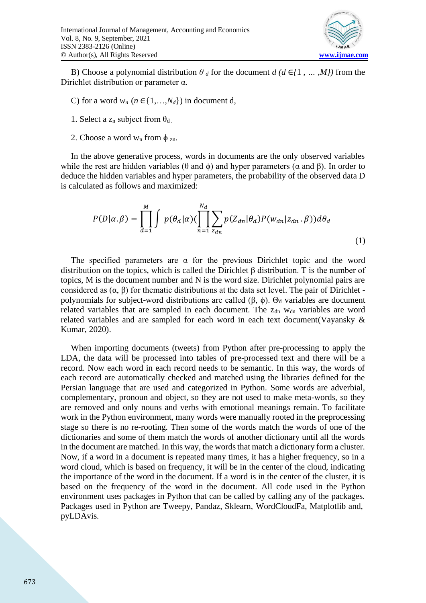

B) Choose a polynomial distribution  $\theta$  *d* for the document  $d$  ( $d \in \{1, ..., M\}$ ) from the Dirichlet distribution or parameter α.

- C) for a word  $w_n$  ( $n \in \{1, ..., N_d\}$ ) in document d,
- 1. Select a  $z_n$  subject from  $\theta_d$ .
- 2. Choose a word w<sub>n</sub> from  $\phi$ <sub>zn</sub>.

In the above generative process, words in documents are the only observed variables while the rest are hidden variables ( $\theta$  and  $\phi$ ) and hyper parameters ( $\alpha$  and  $\beta$ ). In order to deduce the hidden variables and hyper parameters, the probability of the observed data D is calculated as follows and maximized:

$$
P(D|\alpha,\beta) = \prod_{d=1}^{M} \int p(\theta_d|\alpha) (\prod_{n=1}^{N_d} \sum_{z_{dn}} p(Z_{dn}|\theta_d) P(w_{dn}|z_{dn}, \beta)) d\theta_d
$$
\n(1)

The specified parameters are  $\alpha$  for the previous Dirichlet topic and the word distribution on the topics, which is called the Dirichlet β distribution. T is the number of topics, M is the document number and N is the word size. Dirichlet polynomial pairs are considered as  $(\alpha, \beta)$  for thematic distributions at the data set level. The pair of Dirichlet polynomials for subject-word distributions are called (β,  $\phi$ ).  $\Theta_d$  variables are document related variables that are sampled in each document. The  $z<sub>dn</sub>$  w<sub>dn</sub> variables are word related variables and are sampled for each word in each text document(Vayansky & Kumar, 2020).

When importing documents (tweets) from Python after pre-processing to apply the LDA, the data will be processed into tables of pre-processed text and there will be a record. Now each word in each record needs to be semantic. In this way, the words of each record are automatically checked and matched using the libraries defined for the Persian language that are used and categorized in Python. Some words are adverbial, complementary, pronoun and object, so they are not used to make meta-words, so they are removed and only nouns and verbs with emotional meanings remain. To facilitate work in the Python environment, many words were manually rooted in the preprocessing stage so there is no re-rooting. Then some of the words match the words of one of the dictionaries and some of them match the words of another dictionary until all the words in the document are matched. In this way, the words that match a dictionary form a cluster. Now, if a word in a document is repeated many times, it has a higher frequency, so in a word cloud, which is based on frequency, it will be in the center of the cloud, indicating the importance of the word in the document. If a word is in the center of the cluster, it is based on the frequency of the word in the document. All code used in the Python environment uses packages in Python that can be called by calling any of the packages. Packages used in Python are Tweepy, Pandaz, Sklearn, WordCloudFa, Matplotlib and, pyLDAvis.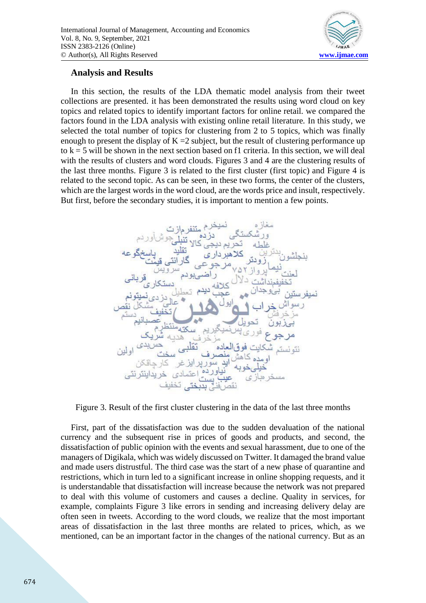

### **Analysis and Results**

In this section, the results of the LDA thematic model analysis from their tweet collections are presented. it has been demonstrated the results using word cloud on key topics and related topics to identify important factors for online retail. we compared the factors found in the LDA analysis with existing online retail literature. In this study, we selected the total number of topics for clustering from 2 to 5 topics, which was finally enough to present the display of  $K = 2$  subject, but the result of clustering performance up to  $k = 5$  will be shown in the next section based on f1 criteria. In this section, we will deal with the results of clusters and word clouds. Figures 3 and 4 are the clustering results of the last three months. Figure 3 is related to the first cluster (first topic) and Figure 4 is related to the second topic. As can be seen, in these two forms, the center of the clusters, which are the largest words in the word cloud, are the words price and insult, respectively. But first, before the secondary studies, it is important to mention a few points.



Figure 3. Result of the first cluster clustering in the data of the last three months

First, part of the dissatisfaction was due to the sudden devaluation of the national currency and the subsequent rise in prices of goods and products, and second, the dissatisfaction of public opinion with the events and sexual harassment, due to one of the managers of Digikala, which was widely discussed on Twitter. It damaged the brand value and made users distrustful. The third case was the start of a new phase of quarantine and restrictions, which in turn led to a significant increase in online shopping requests, and it is understandable that dissatisfaction will increase because the network was not prepared to deal with this volume of customers and causes a decline. Quality in services, for example, complaints Figure 3 like errors in sending and increasing delivery delay are often seen in tweets. According to the word clouds, we realize that the most important areas of dissatisfaction in the last three months are related to prices, which, as we mentioned, can be an important factor in the changes of the national currency. But as an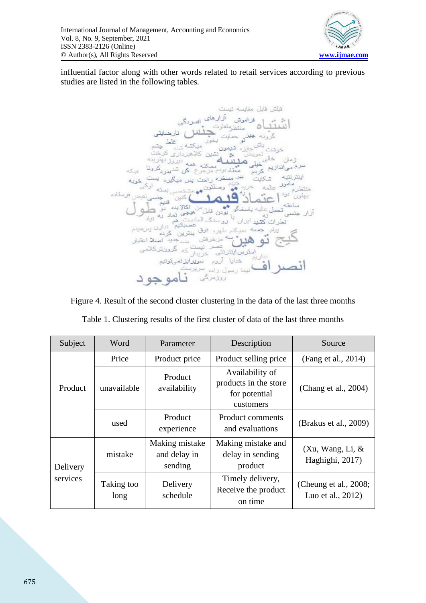

influential factor along with other words related to retail services according to previous studies are listed in the following tables.



Figure 4. Result of the second cluster clustering in the data of the last three months

| Subject  | Word               | Parameter                                 | Description                                                            | Source                                     |
|----------|--------------------|-------------------------------------------|------------------------------------------------------------------------|--------------------------------------------|
|          | Price              | Product price                             | Product selling price                                                  | (Fang et al., 2014)                        |
| Product  | unavailable        | Product<br>availability                   | Availability of<br>products in the store<br>for potential<br>customers | (Chang et al., 2004)                       |
|          | used               | Product<br>experience                     | Product comments<br>and evaluations                                    | (Brakus et al., 2009)                      |
| Delivery | mistake            | Making mistake<br>and delay in<br>sending | Making mistake and<br>delay in sending<br>product                      | (Xu, Wang, Li, &<br>Haghighi, 2017)        |
| services | Taking too<br>long | Delivery<br>schedule                      | Timely delivery,<br>Receive the product<br>on time                     | (Cheung et al., 2008;<br>Luo et al., 2012) |

Table 1. Clustering results of the first cluster of data of the last three months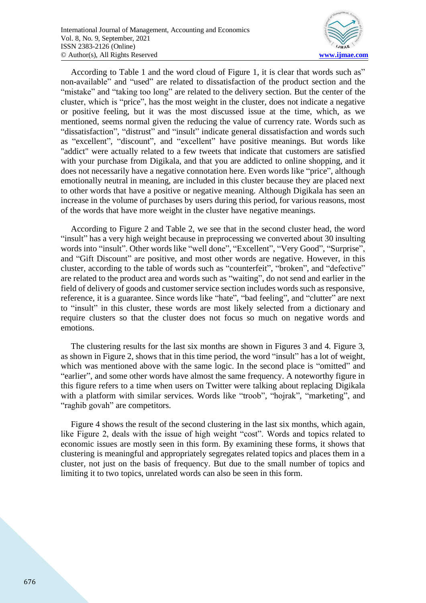

According to Table 1 and the word cloud of Figure 1, it is clear that words such as" non-available" and "used" are related to dissatisfaction of the product section and the "mistake" and "taking too long" are related to the delivery section. But the center of the cluster, which is "price", has the most weight in the cluster, does not indicate a negative or positive feeling, but it was the most discussed issue at the time, which, as we mentioned, seems normal given the reducing the value of currency rate. Words such as "dissatisfaction", "distrust" and "insult" indicate general dissatisfaction and words such as "excellent", "discount", and "excellent" have positive meanings. But words like "addict" were actually related to a few tweets that indicate that customers are satisfied with your purchase from Digikala, and that you are addicted to online shopping, and it does not necessarily have a negative connotation here. Even words like "price", although emotionally neutral in meaning, are included in this cluster because they are placed next to other words that have a positive or negative meaning. Although Digikala has seen an increase in the volume of purchases by users during this period, for various reasons, most of the words that have more weight in the cluster have negative meanings.

According to Figure 2 and Table 2, we see that in the second cluster head, the word "insult" has a very high weight because in preprocessing we converted about 30 insulting words into "insult". Other words like "well done", "Excellent", "Very Good", "Surprise", and "Gift Discount" are positive, and most other words are negative. However, in this cluster, according to the table of words such as "counterfeit", "broken", and "defective" are related to the product area and words such as "waiting", do not send and earlier in the field of delivery of goods and customer service section includes words such as responsive, reference, it is a guarantee. Since words like "hate", "bad feeling", and "clutter" are next to "insult" in this cluster, these words are most likely selected from a dictionary and require clusters so that the cluster does not focus so much on negative words and emotions.

The clustering results for the last six months are shown in Figures 3 and 4. Figure 3, as shown in Figure 2, shows that in this time period, the word "insult" has a lot of weight, which was mentioned above with the same logic. In the second place is "omitted" and "earlier", and some other words have almost the same frequency. A noteworthy figure in this figure refers to a time when users on Twitter were talking about replacing Digikala with a platform with similar services. Words like "troob", "hojrak", "marketing", and "raghib govah" are competitors.

Figure 4 shows the result of the second clustering in the last six months, which again, like Figure 2, deals with the issue of high weight "cost". Words and topics related to economic issues are mostly seen in this form. By examining these forms, it shows that clustering is meaningful and appropriately segregates related topics and places them in a cluster, not just on the basis of frequency. But due to the small number of topics and limiting it to two topics, unrelated words can also be seen in this form.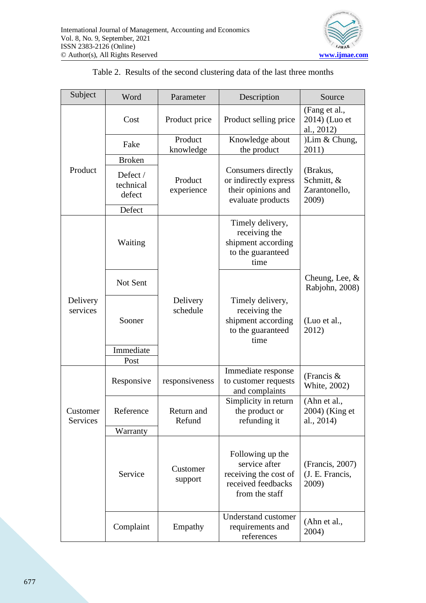

| Subject                     | Word                            | Parameter             | Description                                                                                        | Source                                           |
|-----------------------------|---------------------------------|-----------------------|----------------------------------------------------------------------------------------------------|--------------------------------------------------|
|                             | Cost                            | Product price         | Product selling price                                                                              | (Fang et al.,<br>2014) (Luo et<br>al., 2012)     |
|                             | Fake                            | Product<br>knowledge  | Knowledge about<br>the product                                                                     | )Lim & Chung,<br>2011)                           |
|                             | <b>Broken</b>                   |                       |                                                                                                    |                                                  |
| Product                     | Defect /<br>technical<br>defect | Product<br>experience | Consumers directly<br>or indirectly express<br>their opinions and<br>evaluate products             | (Brakus,<br>Schmitt, &<br>Zarantonello,<br>2009) |
|                             | Defect                          |                       |                                                                                                    |                                                  |
|                             | Waiting                         |                       | Timely delivery,<br>receiving the<br>shipment according<br>to the guaranteed<br>time               |                                                  |
|                             | Not Sent                        |                       |                                                                                                    | Cheung, Lee, $&$<br>Rabjohn, 2008)               |
| Delivery<br>services        | Sooner                          | Delivery<br>schedule  | Timely delivery,<br>receiving the<br>shipment according<br>to the guaranteed<br>time               | (Luo et al.,<br>2012)                            |
|                             | Immediate                       |                       |                                                                                                    |                                                  |
|                             | Post                            |                       |                                                                                                    |                                                  |
|                             | Responsive                      | responsiveness        | Immediate response<br>to customer requests<br>and complaints                                       | (Francis $&$<br>White, 2002)                     |
| Customer<br><b>Services</b> | Reference                       | Return and<br>Refund  | Simplicity in return<br>the product or<br>refunding it                                             | (Ahn et al.,<br>2004) (King et<br>al., 2014)     |
|                             | Warranty                        |                       |                                                                                                    |                                                  |
|                             | Service                         | Customer<br>support   | Following up the<br>service after<br>receiving the cost of<br>received feedbacks<br>from the staff | (Francis, 2007)<br>(J. E. Francis,<br>2009)      |
|                             | Complaint                       | Empathy               | Understand customer<br>requirements and<br>references                                              | (Ahn et al.,<br>2004)                            |

# Table 2. Results of the second clustering data of the last three months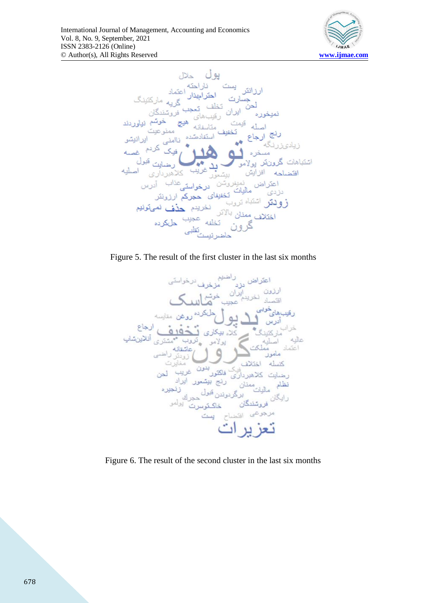



Figure 5. The result of the first cluster in the last six months



Figure 6. The result of the second cluster in the last six months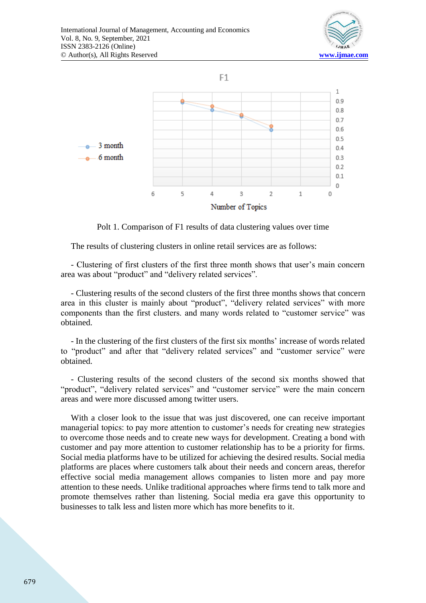



Polt 1. Comparison of F1 results of data clustering values over time

The results of clustering clusters in online retail services are as follows:

- Clustering of first clusters of the first three month shows that user's main concern area was about "product" and "delivery related services".

- Clustering results of the second clusters of the first three months shows that concern area in this cluster is mainly about "product", "delivery related services" with more components than the first clusters. and many words related to "customer service" was obtained.

- In the clustering of the first clusters of the first six months' increase of words related to "product" and after that "delivery related services" and "customer service" were obtained.

- Clustering results of the second clusters of the second six months showed that "product", "delivery related services" and "customer service" were the main concern areas and were more discussed among twitter users.

With a closer look to the issue that was just discovered, one can receive important managerial topics: to pay more attention to customer's needs for creating new strategies to overcome those needs and to create new ways for development. Creating a bond with customer and pay more attention to customer relationship has to be a priority for firms. Social media platforms have to be utilized for achieving the desired results. Social media platforms are places where customers talk about their needs and concern areas, therefor effective social media management allows companies to listen more and pay more attention to these needs. Unlike traditional approaches where firms tend to talk more and promote themselves rather than listening. Social media era gave this opportunity to businesses to talk less and listen more which has more benefits to it.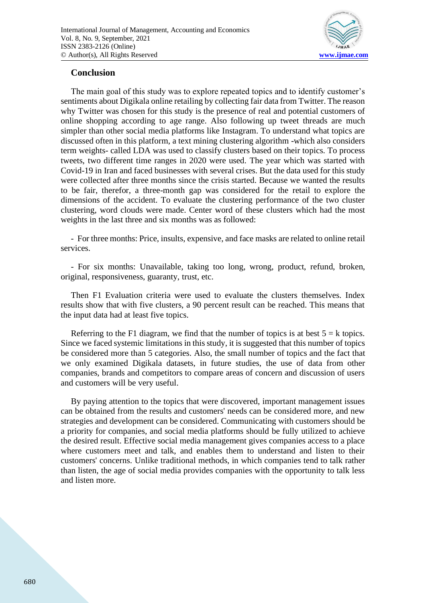

### **Conclusion**

The main goal of this study was to explore repeated topics and to identify customer's sentiments about Digikala online retailing by collecting fair data from Twitter. The reason why Twitter was chosen for this study is the presence of real and potential customers of online shopping according to age range. Also following up tweet threads are much simpler than other social media platforms like Instagram. To understand what topics are discussed often in this platform, a text mining clustering algorithm -which also considers term weights- called LDA was used to classify clusters based on their topics. To process tweets, two different time ranges in 2020 were used. The year which was started with Covid-19 in Iran and faced businesses with several crises. But the data used for this study were collected after three months since the crisis started. Because we wanted the results to be fair, therefor, a three-month gap was considered for the retail to explore the dimensions of the accident. To evaluate the clustering performance of the two cluster clustering, word clouds were made. Center word of these clusters which had the most weights in the last three and six months was as followed:

- For three months: Price, insults, expensive, and face masks are related to online retail services.

- For six months: Unavailable, taking too long, wrong, product, refund, broken, original, responsiveness, guaranty, trust, etc.

Then F1 Evaluation criteria were used to evaluate the clusters themselves. Index results show that with five clusters, a 90 percent result can be reached. This means that the input data had at least five topics.

Referring to the F1 diagram, we find that the number of topics is at best  $5 = k$  topics. Since we faced systemic limitations in this study, it is suggested that this number of topics be considered more than 5 categories. Also, the small number of topics and the fact that we only examined Digikala datasets, in future studies, the use of data from other companies, brands and competitors to compare areas of concern and discussion of users and customers will be very useful.

By paying attention to the topics that were discovered, important management issues can be obtained from the results and customers' needs can be considered more, and new strategies and development can be considered. Communicating with customers should be a priority for companies, and social media platforms should be fully utilized to achieve the desired result. Effective social media management gives companies access to a place where customers meet and talk, and enables them to understand and listen to their customers' concerns. Unlike traditional methods, in which companies tend to talk rather than listen, the age of social media provides companies with the opportunity to talk less and listen more.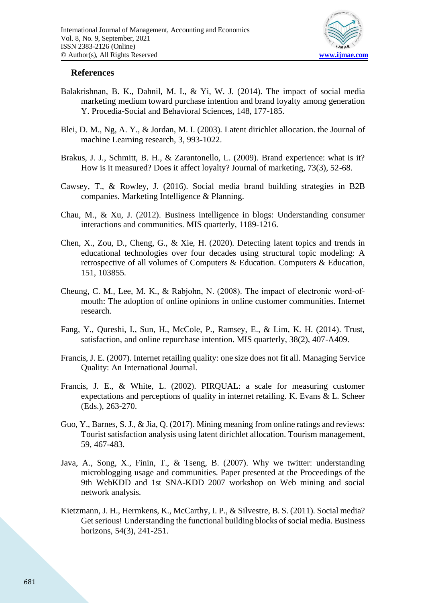

#### **References**

- Balakrishnan, B. K., Dahnil, M. I., & Yi, W. J. (2014). The impact of social media marketing medium toward purchase intention and brand loyalty among generation Y. Procedia-Social and Behavioral Sciences, 148, 177-185.
- Blei, D. M., Ng, A. Y., & Jordan, M. I. (2003). Latent dirichlet allocation. the Journal of machine Learning research, 3, 993-1022.
- Brakus, J. J., Schmitt, B. H., & Zarantonello, L. (2009). Brand experience: what is it? How is it measured? Does it affect loyalty? Journal of marketing, 73(3), 52-68.
- Cawsey, T., & Rowley, J. (2016). Social media brand building strategies in B2B companies. Marketing Intelligence & Planning.
- Chau, M., & Xu, J. (2012). Business intelligence in blogs: Understanding consumer interactions and communities. MIS quarterly, 1189-1216.
- Chen, X., Zou, D., Cheng, G., & Xie, H. (2020). Detecting latent topics and trends in educational technologies over four decades using structural topic modeling: A retrospective of all volumes of Computers & Education. Computers & Education, 151, 103855.
- Cheung, C. M., Lee, M. K., & Rabjohn, N. (2008). The impact of electronic word‐of‐ mouth: The adoption of online opinions in online customer communities. Internet research.
- Fang, Y., Qureshi, I., Sun, H., McCole, P., Ramsey, E., & Lim, K. H. (2014). Trust, satisfaction, and online repurchase intention. MIS quarterly, 38(2), 407-A409.
- Francis, J. E. (2007). Internet retailing quality: one size does not fit all. Managing Service Quality: An International Journal.
- Francis, J. E., & White, L. (2002). PIRQUAL: a scale for measuring customer expectations and perceptions of quality in internet retailing. K. Evans & L. Scheer (Eds.), 263-270.
- Guo, Y., Barnes, S. J., & Jia, Q. (2017). Mining meaning from online ratings and reviews: Tourist satisfaction analysis using latent dirichlet allocation. Tourism management, 59, 467-483.
- Java, A., Song, X., Finin, T., & Tseng, B. (2007). Why we twitter: understanding microblogging usage and communities. Paper presented at the Proceedings of the 9th WebKDD and 1st SNA-KDD 2007 workshop on Web mining and social network analysis.
- Kietzmann, J. H., Hermkens, K., McCarthy, I. P., & Silvestre, B. S. (2011). Social media? Get serious! Understanding the functional building blocks of social media. Business horizons, 54(3), 241-251.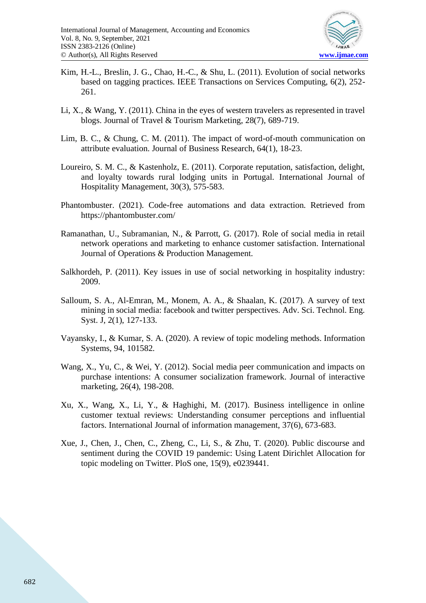

- Kim, H.-L., Breslin, J. G., Chao, H.-C., & Shu, L. (2011). Evolution of social networks based on tagging practices. IEEE Transactions on Services Computing, 6(2), 252- 261.
- Li, X., & Wang, Y. (2011). China in the eyes of western travelers as represented in travel blogs. Journal of Travel & Tourism Marketing, 28(7), 689-719.
- Lim, B. C., & Chung, C. M. (2011). The impact of word-of-mouth communication on attribute evaluation. Journal of Business Research, 64(1), 18-23.
- Loureiro, S. M. C., & Kastenholz, E. (2011). Corporate reputation, satisfaction, delight, and loyalty towards rural lodging units in Portugal. International Journal of Hospitality Management, 30(3), 575-583.
- Phantombuster. (2021). Code-free automations and data extraction. Retrieved from https://phantombuster.com/
- Ramanathan, U., Subramanian, N., & Parrott, G. (2017). Role of social media in retail network operations and marketing to enhance customer satisfaction. International Journal of Operations & Production Management.
- Salkhordeh, P. (2011). Key issues in use of social networking in hospitality industry: 2009.
- Salloum, S. A., Al-Emran, M., Monem, A. A., & Shaalan, K. (2017). A survey of text mining in social media: facebook and twitter perspectives. Adv. Sci. Technol. Eng. Syst. J, 2(1), 127-133.
- Vayansky, I., & Kumar, S. A. (2020). A review of topic modeling methods. Information Systems, 94, 101582.
- Wang, X., Yu, C., & Wei, Y. (2012). Social media peer communication and impacts on purchase intentions: A consumer socialization framework. Journal of interactive marketing, 26(4), 198-208.
- Xu, X., Wang, X., Li, Y., & Haghighi, M. (2017). Business intelligence in online customer textual reviews: Understanding consumer perceptions and influential factors. International Journal of information management, 37(6), 673-683.
- Xue, J., Chen, J., Chen, C., Zheng, C., Li, S., & Zhu, T. (2020). Public discourse and sentiment during the COVID 19 pandemic: Using Latent Dirichlet Allocation for topic modeling on Twitter. PloS one, 15(9), e0239441.